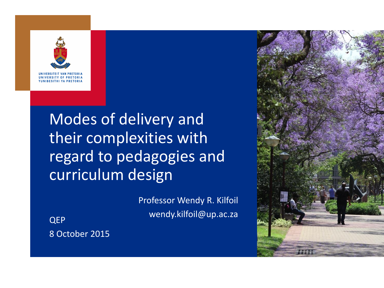

UNIVERSITY OF PRETORIA **YUNIBESITHI YA PRETORIA** 

#### Modes of delivery and their complexities with regard to pedagogies and curriculum design

Professor Wendy R. Kilfoil wendy.kilfoil@up.ac.za QEP

8 October 2015

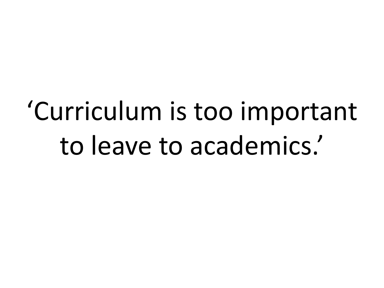# 'Curriculum is too important to leave to academics.'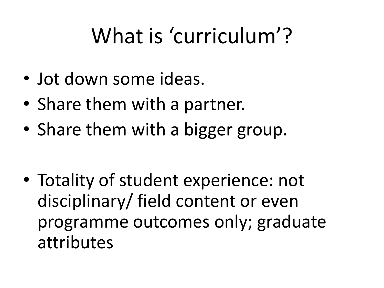# What is 'curriculum'?

- Jot down some ideas.
- Share them with a partner.
- Share them with a bigger group.

• Totality of student experience: not disciplinary/ field content or even programme outcomes only; graduate attributes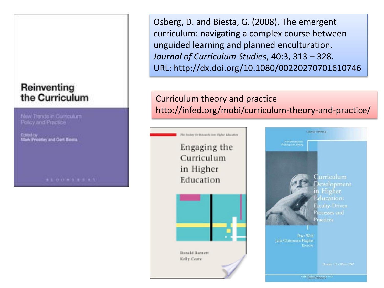#### Reinventing the Curriculum

New Trands in Curriculum Pelcy and Practice

Edited by Edlied by<br>Mark Priestley and Gert Besta.

Osberg, D. and Biesta, G. (2008). The emergent curriculum: navigating a complex course between unguided learning and planned enculturation. *Journal of Curriculum Studies*, 40:3, 313 – 328. URL: http://dx.doi.org/10.1080/00220270701610746

#### Curriculum theory and practice http://infed.org/mobi/curriculum-theory-and-practice/



**Curriculum** evelopment Higher in Education: aculty-Driven Processes and eactices

Copyrighteri Marcelal

Peter Wolf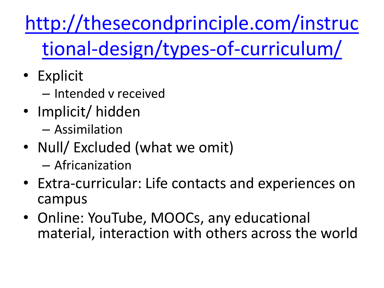[http://thesecondprinciple.com/instruc](http://thesecondprinciple.com/instructional-design/types-of-curriculum/) [tional-design/types-of-curriculum/](http://thesecondprinciple.com/instructional-design/types-of-curriculum/)

- Explicit
	- Intended v received
- Implicit/ hidden
	- Assimilation
- Null/ Excluded (what we omit)
	- Africanization
- Extra-curricular: Life contacts and experiences on campus
- Online: YouTube, MOOCs, any educational material, interaction with others across the world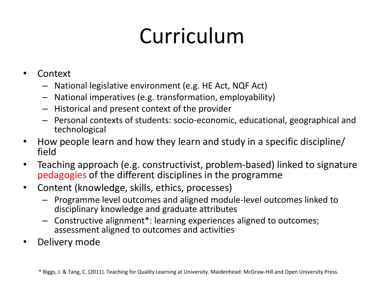# Curriculum

- Context
	- National legislative environment (e.g. HE Act, NQF Act)
	- National imperatives (e.g. transformation, employability)
	- Historical and present context of the provider
	- Personal contexts of students: socio-economic, educational, geographical and technological
- How people learn and how they learn and study in a specific discipline/ field
- Teaching approach (e.g. constructivist, problem-based) linked to signature pedagogies of the different disciplines in the programme
- Content (knowledge, skills, ethics, processes)
	- Programme level outcomes and aligned module-level outcomes linked to disciplinary knowledge and graduate attributes
	- Constructive alignment\*: learning experiences aligned to outcomes; assessment aligned to outcomes and activities
- Delivery mode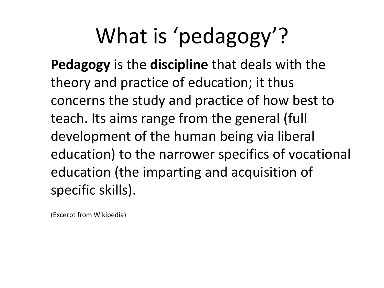# What is 'pedagogy'?

**Pedagogy** is the **discipline** that deals with the theory and practice of education; it thus concerns the study and practice of how best to teach. Its aims range from the general (full development of the human being via liberal education) to the narrower specifics of vocational education (the imparting and acquisition of specific skills).

(Excerpt from Wikipedia)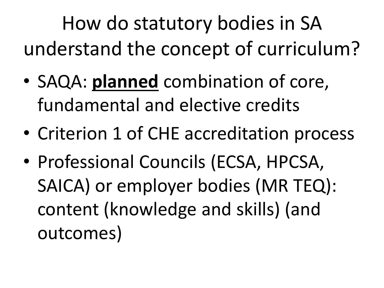How do statutory bodies in SA understand the concept of curriculum?

- SAQA: **planned** combination of core, fundamental and elective credits
- Criterion 1 of CHE accreditation process
- Professional Councils (ECSA, HPCSA, SAICA) or employer bodies (MR TEQ): content (knowledge and skills) (and outcomes)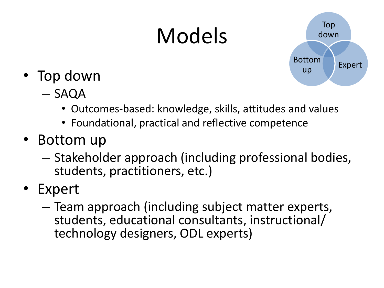# Models



- Top down
	- SAQA
		- Outcomes-based: knowledge, skills, attitudes and values
		- Foundational, practical and reflective competence
- Bottom up
	- Stakeholder approach (including professional bodies, students, practitioners, etc.)
- Expert
	- Team approach (including subject matter experts, students, educational consultants, instructional/ technology designers, ODL experts)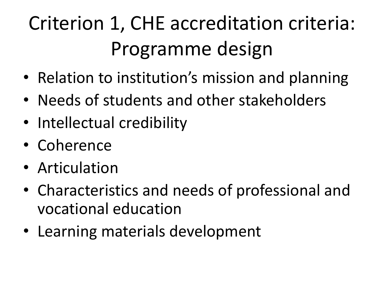# Criterion 1, CHE accreditation criteria: Programme design

- Relation to institution's mission and planning
- Needs of students and other stakeholders
- Intellectual credibility
- Coherence
- Articulation
- Characteristics and needs of professional and vocational education
- Learning materials development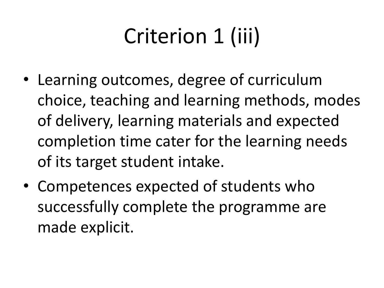# Criterion 1 (iii)

- Learning outcomes, degree of curriculum choice, teaching and learning methods, modes of delivery, learning materials and expected completion time cater for the learning needs of its target student intake.
- Competences expected of students who successfully complete the programme are made explicit.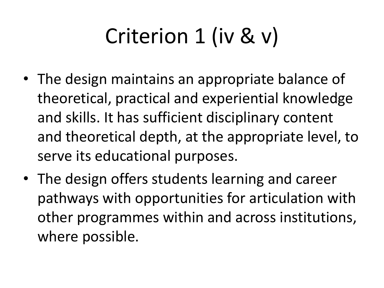# Criterion 1 (iv & v)

- The design maintains an appropriate balance of theoretical, practical and experiential knowledge and skills. It has sufficient disciplinary content and theoretical depth, at the appropriate level, to serve its educational purposes.
- The design offers students learning and career pathways with opportunities for articulation with other programmes within and across institutions, where possible.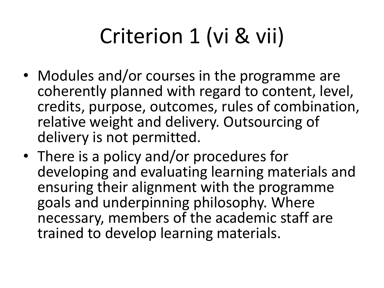# Criterion 1 (vi & vii)

- Modules and/or courses in the programme are coherently planned with regard to content, level, credits, purpose, outcomes, rules of combination, relative weight and delivery. Outsourcing of delivery is not permitted.
- There is a policy and/or procedures for developing and evaluating learning materials and ensuring their alignment with the programme goals and underpinning philosophy. Where necessary, members of the academic staff are trained to develop learning materials.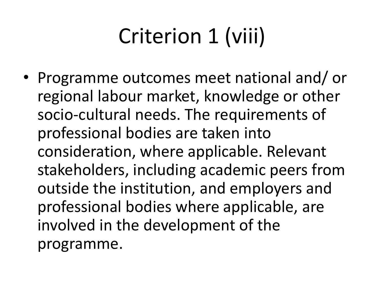# Criterion 1 (viii)

• Programme outcomes meet national and/ or regional labour market, knowledge or other socio-cultural needs. The requirements of professional bodies are taken into consideration, where applicable. Relevant stakeholders, including academic peers from outside the institution, and employers and professional bodies where applicable, are involved in the development of the programme.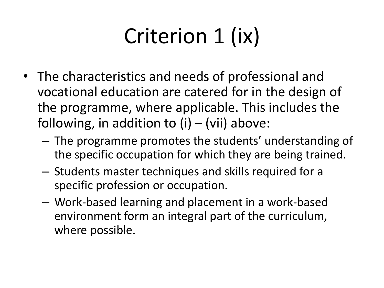# Criterion 1 (ix)

- The characteristics and needs of professional and vocational education are catered for in the design of the programme, where applicable. This includes the following, in addition to  $(i) - (vii)$  above:
	- The programme promotes the students' understanding of the specific occupation for which they are being trained.
	- Students master techniques and skills required for a specific profession or occupation.
	- Work-based learning and placement in a work-based environment form an integral part of the curriculum, where possible.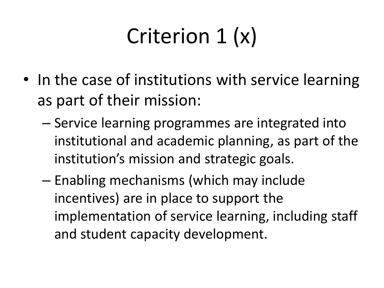# Criterion 1 (x)

- In the case of institutions with service learning as part of their mission:
	- Service learning programmes are integrated into institutional and academic planning, as part of the institution's mission and strategic goals.
	- Enabling mechanisms (which may include incentives) are in place to support the implementation of service learning, including staff and student capacity development.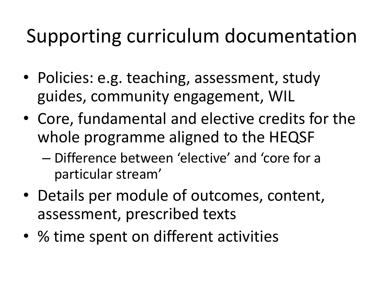### Supporting curriculum documentation

- Policies: e.g. teaching, assessment, study guides, community engagement, WIL
- Core, fundamental and elective credits for the whole programme aligned to the HEQSF
	- Difference between 'elective' and 'core for a particular stream'
- Details per module of outcomes, content, assessment, prescribed texts
- % time spent on different activities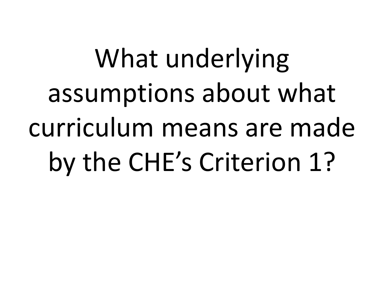# What underlying assumptions about what curriculum means are made by the CHE's Criterion 1?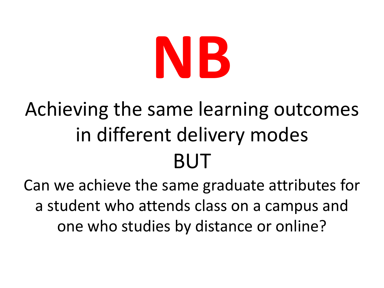# **NB**

## Achieving the same learning outcomes in different delivery modes BUT

Can we achieve the same graduate attributes for a student who attends class on a campus and one who studies by distance or online?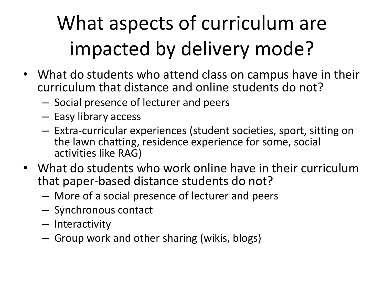# What aspects of curriculum are impacted by delivery mode?

- What do students who attend class on campus have in their curriculum that distance and online students do not?
	- Social presence of lecturer and peers
	- Easy library access
	- Extra-curricular experiences (student societies, sport, sitting on the lawn chatting, residence experience for some, social activities like RAG)
- What do students who work online have in their curriculum that paper-based distance students do not?
	- More of a social presence of lecturer and peers
	- Synchronous contact
	- Interactivity
	- Group work and other sharing (wikis, blogs)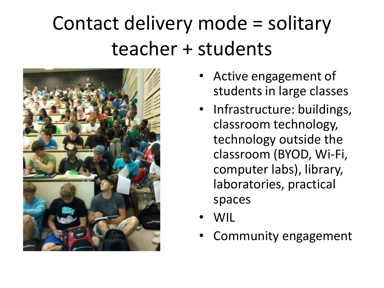## Contact delivery mode = solitary teacher + students



- Active engagement of students in large classes
- Infrastructure: buildings, classroom technology, technology outside the classroom (BYOD, Wi-Fi, computer labs), library, laboratories, practical spaces
- WIL
- Community engagement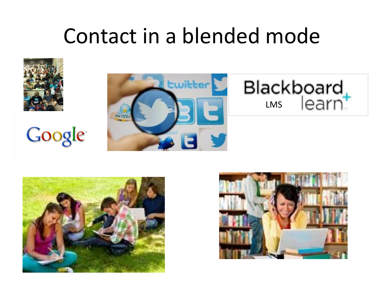## Contact in a blended mode



# **Google**







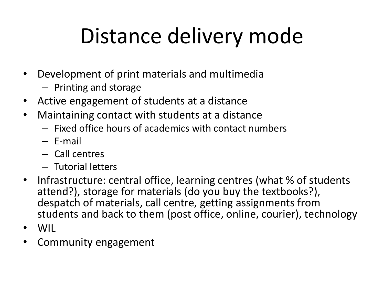# Distance delivery mode

- Development of print materials and multimedia
	- Printing and storage
- Active engagement of students at a distance
- Maintaining contact with students at a distance
	- Fixed office hours of academics with contact numbers
	- E-mail
	- Call centres
	- Tutorial letters
- Infrastructure: central office, learning centres (what % of students attend?), storage for materials (do you buy the textbooks?), despatch of materials, call centre, getting assignments from students and back to them (post office, online, courier), technology
- WIL
- Community engagement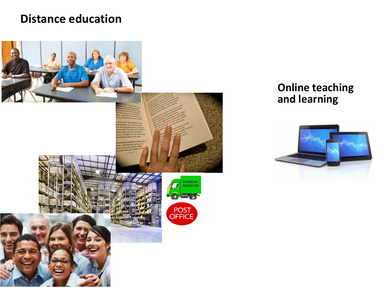#### **Distance education**



#### **Online teaching and learning**

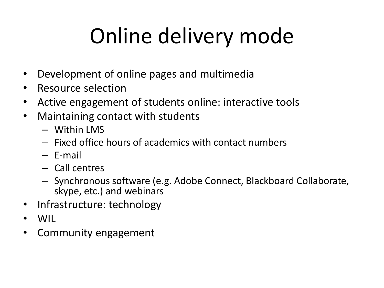# Online delivery mode

- Development of online pages and multimedia
- Resource selection
- Active engagement of students online: interactive tools
- Maintaining contact with students
	- Within LMS
	- Fixed office hours of academics with contact numbers
	- E-mail
	- Call centres
	- Synchronous software (e.g. Adobe Connect, Blackboard Collaborate, skype, etc.) and webinars
- Infrastructure: technology
- WIL
- Community engagement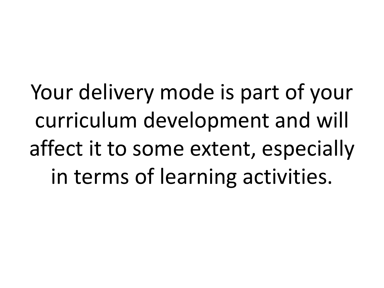Your delivery mode is part of your curriculum development and will affect it to some extent, especially in terms of learning activities.